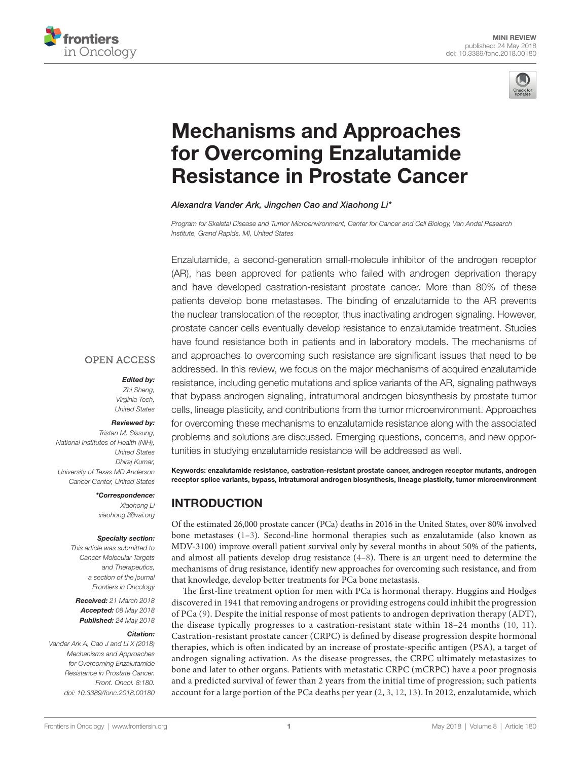



# [Mechanisms and Approaches](https://www.frontiersin.org/Journal/10.3389/fonc.2018.00180/full)  for Overcoming Enzalutamide [Resistance in Prostate Cancer](https://www.frontiersin.org/Journal/10.3389/fonc.2018.00180/full)

*[Alexandra Vander Ark](https://loop.frontiersin.org/people/523951), [Jingchen Cao](https://loop.frontiersin.org/people/562281) and [Xiaohong Li](https://loop.frontiersin.org/people/198056)\**

*Program for Skeletal Disease and Tumor Microenvironment, Center for Cancer and Cell Biology, Van Andel Research Institute, Grand Rapids, MI, United States*

Enzalutamide, a second-generation small-molecule inhibitor of the androgen receptor (AR), has been approved for patients who failed with androgen deprivation therapy and have developed castration-resistant prostate cancer. More than 80% of these patients develop bone metastases. The binding of enzalutamide to the AR prevents the nuclear translocation of the receptor, thus inactivating androgen signaling. However, prostate cancer cells eventually develop resistance to enzalutamide treatment. Studies have found resistance both in patients and in laboratory models. The mechanisms of and approaches to overcoming such resistance are significant issues that need to be addressed. In this review, we focus on the major mechanisms of acquired enzalutamide resistance, including genetic mutations and splice variants of the AR, signaling pathways that bypass androgen signaling, intratumoral androgen biosynthesis by prostate tumor cells, lineage plasticity, and contributions from the tumor microenvironment. Approaches for overcoming these mechanisms to enzalutamide resistance along with the associated problems and solutions are discussed. Emerging questions, concerns, and new opportunities in studying enzalutamide resistance will be addressed as well.

#### **OPEN ACCESS**

*Edited by:* 

*Zhi Sheng, Virginia Tech, United States*

#### *Reviewed by:*

*Tristan M. Sissung, National Institutes of Health (NIH), United States Dhiraj Kumar, University of Texas MD Anderson Cancer Center, United States*

*\*Correspondence:*

*Xiaohong Li [xiaohong.li@vai.org](mailto:xiaohong.li@vai.org)*

#### *Specialty section:*

*This article was submitted to Cancer Molecular Targets and Therapeutics, a section of the journal Frontiers in Oncology*

*Received: 21 March 2018 Accepted: 08 May 2018 Published: 24 May 2018*

#### *Citation:*

*Vander Ark A, Cao J and Li X (2018) Mechanisms and Approaches for Overcoming Enzalutamide Resistance in Prostate Cancer. Front. Oncol. 8:180. doi: [10.3389/fonc.2018.00180](https://doi.org/10.3389/fonc.2018.00180)* Keywords: enzalutamide resistance, castration-resistant prostate cancer, androgen receptor mutants, androgen receptor splice variants, bypass, intratumoral androgen biosynthesis, lineage plasticity, tumor microenvironment

## INTRODUCTION

Of the estimated 26,000 prostate cancer (PCa) deaths in 2016 in the United States, over 80% involved bone metastases ([1](#page-5-0)[–3\)](#page-5-1). Second-line hormonal therapies such as enzalutamide (also known as MDV-3100) improve overall patient survival only by several months in about 50% of the patients, and almost all patients develop drug resistance  $(4-8)$  $(4-8)$  $(4-8)$  $(4-8)$ . There is an urgent need to determine the mechanisms of drug resistance, identify new approaches for overcoming such resistance, and from that knowledge, develop better treatments for PCa bone metastasis.

The first-line treatment option for men with PCa is hormonal therapy. Huggins and Hodges discovered in 1941 that removing androgens or providing estrogens could inhibit the progression of PCa [\(9](#page-5-4)). Despite the initial response of most patients to androgen deprivation therapy (ADT), the disease typically progresses to a castration-resistant state within 18–24 months ([10,](#page-5-5) [11](#page-5-6)). Castration-resistant prostate cancer (CRPC) is defined by disease progression despite hormonal therapies, which is often indicated by an increase of prostate-specific antigen (PSA), a target of androgen signaling activation. As the disease progresses, the CRPC ultimately metastasizes to bone and later to other organs. Patients with metastatic CRPC (mCRPC) have a poor prognosis and a predicted survival of fewer than 2 years from the initial time of progression; such patients account for a large portion of the PCa deaths per year [\(2,](#page-5-7) [3,](#page-5-1) [12](#page-5-8), [13\)](#page-5-9). In 2012, enzalutamide, which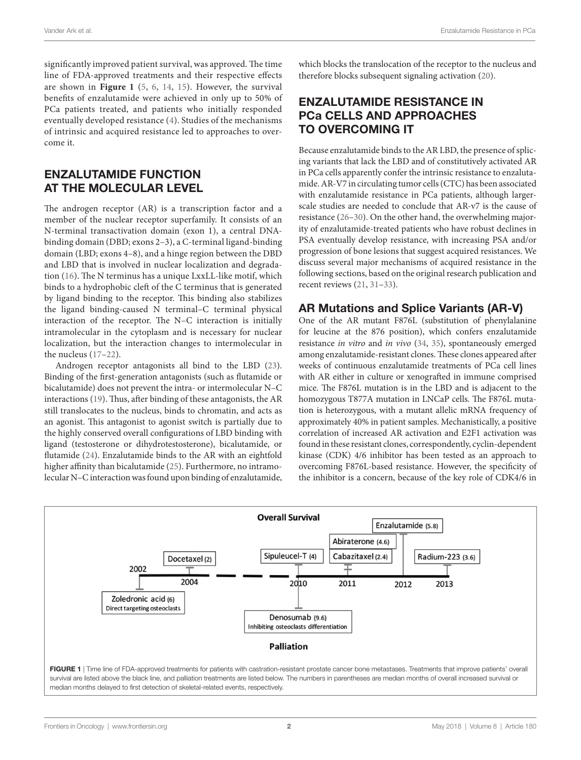significantly improved patient survival, was approved. The time line of FDA-approved treatments and their respective effects are shown in **[Figure 1](#page-1-0)** ([5,](#page-5-10) [6](#page-5-11), [14,](#page-5-12) [15](#page-5-13)). However, the survival benefits of enzalutamide were achieved in only up to 50% of PCa patients treated, and patients who initially responded eventually developed resistance ([4](#page-5-2)). Studies of the mechanisms of intrinsic and acquired resistance led to approaches to overcome it.

#### ENZALUTAMIDE FUNCTION AT THE MOLECULAR LEVEL

The androgen receptor (AR) is a transcription factor and a member of the nuclear receptor superfamily. It consists of an N-terminal transactivation domain (exon 1), a central DNAbinding domain (DBD; exons 2–3), a C-terminal ligand-binding domain (LBD; exons 4–8), and a hinge region between the DBD and LBD that is involved in nuclear localization and degradation [\(16\)](#page-5-14). The N terminus has a unique LxxLL-like motif, which binds to a hydrophobic cleft of the C terminus that is generated by ligand binding to the receptor. This binding also stabilizes the ligand binding-caused N terminal–C terminal physical interaction of the receptor. The N–C interaction is initially intramolecular in the cytoplasm and is necessary for nuclear localization, but the interaction changes to intermolecular in the nucleus ([17](#page-5-15)[–22](#page-5-16)).

Androgen receptor antagonists all bind to the LBD ([23\)](#page-5-17). Binding of the first-generation antagonists (such as flutamide or bicalutamide) does not prevent the intra- or intermolecular N–C interactions ([19\)](#page-5-18). Thus, after binding of these antagonists, the AR still translocates to the nucleus, binds to chromatin, and acts as an agonist. This antagonist to agonist switch is partially due to the highly conserved overall configurations of LBD binding with ligand (testosterone or dihydrotestosterone), bicalutamide, or flutamide ([24\)](#page-5-19). Enzalutamide binds to the AR with an eightfold higher affinity than bicalutamide ([25\)](#page-5-20). Furthermore, no intramolecular N–C interaction was found upon binding of enzalutamide, which blocks the translocation of the receptor to the nucleus and therefore blocks subsequent signaling activation [\(20\)](#page-5-21).

### ENZALUTAMIDE RESISTANCE IN PCa CELLS AND APPROACHES TO OVERCOMING IT

Because enzalutamide binds to the AR LBD, the presence of splicing variants that lack the LBD and of constitutively activated AR in PCa cells apparently confer the intrinsic resistance to enzalutamide. AR-V7 in circulating tumor cells (CTC) has been associated with enzalutamide resistance in PCa patients, although largerscale studies are needed to conclude that AR-v7 is the cause of resistance ([26–](#page-5-22)[30\)](#page-5-23). On the other hand, the overwhelming majority of enzalutamide-treated patients who have robust declines in PSA eventually develop resistance, with increasing PSA and/or progression of bone lesions that suggest acquired resistances. We discuss several major mechanisms of acquired resistance in the following sections, based on the original research publication and recent reviews ([21,](#page-5-24) [31](#page-5-25)[–33](#page-5-26)).

#### AR Mutations and Splice Variants (AR-V)

One of the AR mutant F876L (substitution of phenylalanine for leucine at the 876 position), which confers enzalutamide resistance *in vitro* and *in vivo* ([34,](#page-5-27) [35](#page-5-28)), spontaneously emerged among enzalutamide-resistant clones. These clones appeared after weeks of continuous enzalutamide treatments of PCa cell lines with AR either in culture or xenografted in immune comprised mice. The F876L mutation is in the LBD and is adjacent to the homozygous T877A mutation in LNCaP cells. The F876L mutation is heterozygous, with a mutant allelic mRNA frequency of approximately 40% in patient samples. Mechanistically, a positive correlation of increased AR activation and E2F1 activation was found in these resistant clones, correspondently, cyclin-dependent kinase (CDK) 4/6 inhibitor has been tested as an approach to overcoming F876L-based resistance. However, the specificity of the inhibitor is a concern, because of the key role of CDK4/6 in

<span id="page-1-0"></span>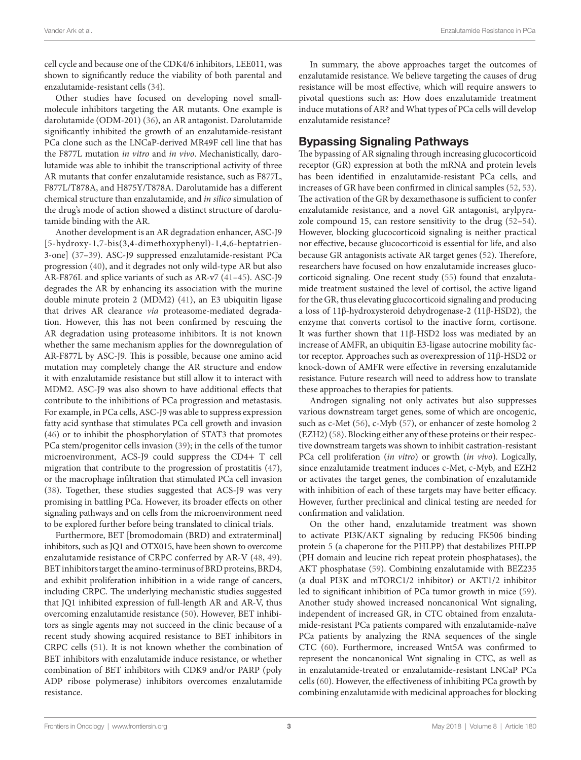cell cycle and because one of the CDK4/6 inhibitors, LEE011, was shown to significantly reduce the viability of both parental and enzalutamide-resistant cells ([34\)](#page-5-27).

Other studies have focused on developing novel smallmolecule inhibitors targeting the AR mutants. One example is darolutamide (ODM-201) ([36\)](#page-5-29), an AR antagonist. Darolutamide significantly inhibited the growth of an enzalutamide-resistant PCa clone such as the LNCaP-derived MR49F cell line that has the F877L mutation *in vitro* and *in vivo*. Mechanistically, darolutamide was able to inhibit the transcriptional activity of three AR mutants that confer enzalutamide resistance, such as F877L, F877L/T878A, and H875Y/T878A. Darolutamide has a different chemical structure than enzalutamide, and *in silico* simulation of the drug's mode of action showed a distinct structure of darolutamide binding with the AR.

Another development is an AR degradation enhancer, ASC-J9 [5-hydroxy-1,7-bis(3,4-dimethoxyphenyl)-1,4,6-heptatrien-3-one] ([37–](#page-5-30)[39\)](#page-6-0). ASC-J9 suppressed enzalutamide-resistant PCa progression [\(40](#page-6-1)), and it degrades not only wild-type AR but also AR-F876L and splice variants of such as AR-v7 ([41–](#page-6-2)[45\)](#page-6-3). ASC-J9 degrades the AR by enhancing its association with the murine double minute protein 2 (MDM2) ([41\)](#page-6-2), an E3 ubiquitin ligase that drives AR clearance *via* proteasome-mediated degradation. However, this has not been confirmed by rescuing the AR degradation using proteasome inhibitors. It is not known whether the same mechanism applies for the downregulation of AR-F877L by ASC-J9. This is possible, because one amino acid mutation may completely change the AR structure and endow it with enzalutamide resistance but still allow it to interact with MDM2. ASC-J9 was also shown to have additional effects that contribute to the inhibitions of PCa progression and metastasis. For example, in PCa cells, ASC-J9 was able to suppress expression fatty acid synthase that stimulates PCa cell growth and invasion ([46\)](#page-6-4) or to inhibit the phosphorylation of STAT3 that promotes PCa stem/progenitor cells invasion ([39\)](#page-6-0); in the cells of the tumor microenvironment, ACS-J9 could suppress the CD4+ T cell migration that contribute to the progression of prostatitis ([47\)](#page-6-5), or the macrophage infiltration that stimulated PCa cell invasion ([38\)](#page-5-31). Together, these studies suggested that ACS-J9 was very promising in battling PCa. However, its broader effects on other signaling pathways and on cells from the microenvironment need to be explored further before being translated to clinical trials.

Furthermore, BET [bromodomain (BRD) and extraterminal] inhibitors, such as JQ1 and OTX015, have been shown to overcome enzalutamide resistance of CRPC conferred by AR-V ([48](#page-6-6), [49\)](#page-6-7). BET inhibitors target the amino-terminus of BRD proteins, BRD4, and exhibit proliferation inhibition in a wide range of cancers, including CRPC. The underlying mechanistic studies suggested that JQ1 inhibited expression of full-length AR and AR-V, thus overcoming enzalutamide resistance ([50](#page-6-8)). However, BET inhibitors as single agents may not succeed in the clinic because of a recent study showing acquired resistance to BET inhibitors in CRPC cells [\(51](#page-6-9)). It is not known whether the combination of BET inhibitors with enzalutamide induce resistance, or whether combination of BET inhibitors with CDK9 and/or PARP (poly ADP ribose polymerase) inhibitors overcomes enzalutamide resistance.

In summary, the above approaches target the outcomes of enzalutamide resistance. We believe targeting the causes of drug resistance will be most effective, which will require answers to pivotal questions such as: How does enzalutamide treatment induce mutations of AR? and What types of PCa cells will develop enzalutamide resistance?

#### Bypassing Signaling Pathways

The bypassing of AR signaling through increasing glucocorticoid receptor (GR) expression at both the mRNA and protein levels has been identified in enzalutamide-resistant PCa cells, and increases of GR have been confirmed in clinical samples [\(52](#page-6-10), [53](#page-6-11)). The activation of the GR by dexamethasone is sufficient to confer enzalutamide resistance, and a novel GR antagonist, arylpyrazole compound 15, can restore sensitivity to the drug [\(52](#page-6-10)[–54](#page-6-12)). However, blocking glucocorticoid signaling is neither practical nor effective, because glucocorticoid is essential for life, and also because GR antagonists activate AR target genes [\(52\)](#page-6-10). Therefore, researchers have focused on how enzalutamide increases glucocorticoid signaling. One recent study ([55\)](#page-6-13) found that enzalutamide treatment sustained the level of cortisol, the active ligand for the GR, thus elevating glucocorticoid signaling and producing a loss of 11β-hydroxysteroid dehydrogenase-2 (11β-HSD2), the enzyme that converts cortisol to the inactive form, cortisone. It was further shown that 11β-HSD2 loss was mediated by an increase of AMFR, an ubiquitin E3-ligase autocrine mobility factor receptor. Approaches such as overexpression of 11β-HSD2 or knock-down of AMFR were effective in reversing enzalutamide resistance. Future research will need to address how to translate these approaches to therapies for patients.

Androgen signaling not only activates but also suppresses various downstream target genes, some of which are oncogenic, such as c-Met ([56\)](#page-6-14), c-Myb [\(57\)](#page-6-15), or enhancer of zeste homolog 2 (EZH2) [\(58\)](#page-6-16). Blocking either any of these proteins or their respective downstream targets was shown to inhibit castration-resistant PCa cell proliferation (*in vitro*) or growth (*in vivo*). Logically, since enzalutamide treatment induces c-Met, c-Myb, and EZH2 or activates the target genes, the combination of enzalutamide with inhibition of each of these targets may have better efficacy. However, further preclinical and clinical testing are needed for confirmation and validation.

On the other hand, enzalutamide treatment was shown to activate PI3K/AKT signaling by reducing FK506 binding protein 5 (a chaperone for the PHLPP) that destabilizes PHLPP (PH domain and leucine rich repeat protein phosphatases), the AKT phosphatase [\(59](#page-6-17)). Combining enzalutamide with BEZ235 (a dual PI3K and mTORC1/2 inhibitor) or AKT1/2 inhibitor led to significant inhibition of PCa tumor growth in mice [\(59](#page-6-17)). Another study showed increased noncanonical Wnt signaling, independent of increased GR, in CTC obtained from enzalutamide-resistant PCa patients compared with enzalutamide-naïve PCa patients by analyzing the RNA sequences of the single CTC [\(60](#page-6-18)). Furthermore, increased Wnt5A was confirmed to represent the noncanonical Wnt signaling in CTC, as well as in enzalutamide-treated or enzalutamide-resistant LNCaP PCa cells ([60\)](#page-6-18). However, the effectiveness of inhibiting PCa growth by combining enzalutamide with medicinal approaches for blocking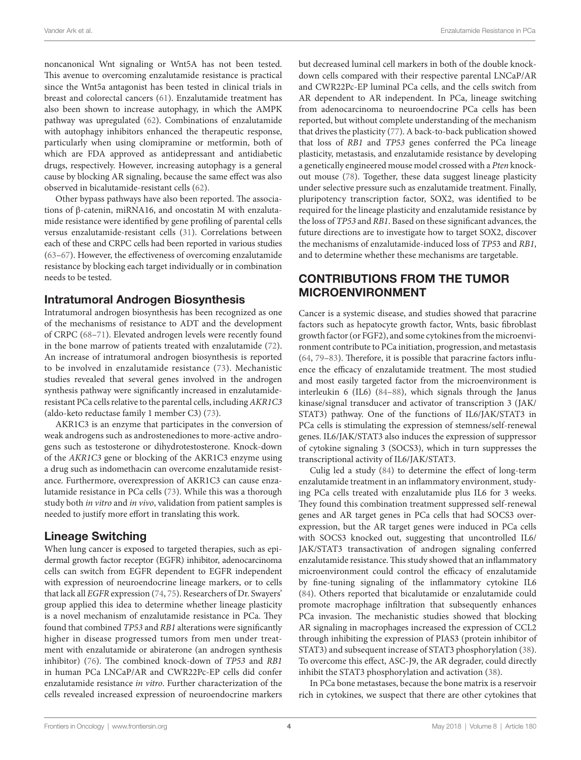noncanonical Wnt signaling or Wnt5A has not been tested. This avenue to overcoming enzalutamide resistance is practical since the Wnt5a antagonist has been tested in clinical trials in breast and colorectal cancers [\(61](#page-6-19)). Enzalutamide treatment has also been shown to increase autophagy, in which the AMPK pathway was upregulated ([62\)](#page-6-20). Combinations of enzalutamide with autophagy inhibitors enhanced the therapeutic response, particularly when using clomipramine or metformin, both of which are FDA approved as antidepressant and antidiabetic drugs, respectively. However, increasing autophagy is a general cause by blocking AR signaling, because the same effect was also observed in bicalutamide-resistant cells [\(62](#page-6-20)).

Other bypass pathways have also been reported. The associations of β-catenin, miRNA16, and oncostatin M with enzalutamide resistance were identified by gene profiling of parental cells versus enzalutamide-resistant cells [\(31](#page-5-25)). Correlations between each of these and CRPC cells had been reported in various studies ([63–](#page-6-21)[67\)](#page-6-22). However, the effectiveness of overcoming enzalutamide resistance by blocking each target individually or in combination needs to be tested.

#### Intratumoral Androgen Biosynthesis

Intratumoral androgen biosynthesis has been recognized as one of the mechanisms of resistance to ADT and the development of CRPC [\(68](#page-6-23)[–71](#page-6-24)). Elevated androgen levels were recently found in the bone marrow of patients treated with enzalutamide ([72\)](#page-6-25). An increase of intratumoral androgen biosynthesis is reported to be involved in enzalutamide resistance [\(73\)](#page-6-26). Mechanistic studies revealed that several genes involved in the androgen synthesis pathway were significantly increased in enzalutamideresistant PCa cells relative to the parental cells, including *AKR1C3* (aldo-keto reductase family 1 member C3) ([73](#page-6-26)).

AKR1C3 is an enzyme that participates in the conversion of weak androgens such as androstenediones to more-active androgens such as testosterone or dihydrotestosterone. Knock-down of the *AKR1C3* gene or blocking of the AKR1C3 enzyme using a drug such as indomethacin can overcome enzalutamide resistance. Furthermore, overexpression of AKR1C3 can cause enzalutamide resistance in PCa cells [\(73\)](#page-6-26). While this was a thorough study both *in vitro* and *in vivo*, validation from patient samples is needed to justify more effort in translating this work.

#### Lineage Switching

When lung cancer is exposed to targeted therapies, such as epidermal growth factor receptor (EGFR) inhibitor, adenocarcinoma cells can switch from EGFR dependent to EGFR independent with expression of neuroendocrine lineage markers, or to cells that lack all *EGFR* expression ([74,](#page-6-27) [75\)](#page-6-28). Researchers of Dr. Swayers' group applied this idea to determine whether lineage plasticity is a novel mechanism of enzalutamide resistance in PCa. They found that combined *TP53* and *RB1* alterations were significantly higher in disease progressed tumors from men under treatment with enzalutamide or abiraterone (an androgen synthesis inhibitor) [\(76\)](#page-6-29). The combined knock-down of *TP53* and *RB1* in human PCa LNCaP/AR and CWR22Pc-EP cells did confer enzalutamide resistance *in vitro*. Further characterization of the cells revealed increased expression of neuroendocrine markers but decreased luminal cell markers in both of the double knockdown cells compared with their respective parental LNCaP/AR and CWR22Pc-EP luminal PCa cells, and the cells switch from AR dependent to AR independent. In PCa, lineage switching from adenocarcinoma to neuroendocrine PCa cells has been reported, but without complete understanding of the mechanism that drives the plasticity [\(77](#page-6-30)). A back-to-back publication showed that loss of *RB1* and *TP53* genes conferred the PCa lineage plasticity, metastasis, and enzalutamide resistance by developing a genetically engineered mouse model crossed with a *Pten* knockout mouse [\(78](#page-7-0)). Together, these data suggest lineage plasticity under selective pressure such as enzalutamide treatment. Finally, pluripotency transcription factor, SOX2, was identified to be required for the lineage plasticity and enzalutamide resistance by the loss of *TP53* and *RB1*. Based on these significant advances, the future directions are to investigate how to target SOX2, discover the mechanisms of enzalutamide-induced loss of *TP5*3 and *RB1*, and to determine whether these mechanisms are targetable.

## CONTRIBUTIONS FROM THE TUMOR MICROENVIRONMENT

Cancer is a systemic disease, and studies showed that paracrine factors such as hepatocyte growth factor, Wnts, basic fibroblast growth factor (or FGF2), and some cytokines from the microenvironment contribute to PCa initiation, progression, and metastasis [\(64,](#page-6-31) [79](#page-7-1)[–83](#page-7-2)). Therefore, it is possible that paracrine factors influence the efficacy of enzalutamide treatment. The most studied and most easily targeted factor from the microenvironment is interleukin 6 (IL6) [\(84](#page-7-3)[–88](#page-7-4)), which signals through the Janus kinase/signal transducer and activator of transcription 3 (JAK/ STAT3) pathway. One of the functions of IL6/JAK/STAT3 in PCa cells is stimulating the expression of stemness/self-renewal genes. IL6/JAK/STAT3 also induces the expression of suppressor of cytokine signaling 3 (SOCS3), which in turn suppresses the transcriptional activity of IL6/JAK/STAT3.

Culig led a study ([84\)](#page-7-3) to determine the effect of long-term enzalutamide treatment in an inflammatory environment, studying PCa cells treated with enzalutamide plus IL6 for 3 weeks. They found this combination treatment suppressed self-renewal genes and AR target genes in PCa cells that had SOCS3 overexpression, but the AR target genes were induced in PCa cells with SOCS3 knocked out, suggesting that uncontrolled IL6/ JAK/STAT3 transactivation of androgen signaling conferred enzalutamide resistance. This study showed that an inflammatory microenvironment could control the efficacy of enzalutamide by fine-tuning signaling of the inflammatory cytokine IL6 [\(84\)](#page-7-3). Others reported that bicalutamide or enzalutamide could promote macrophage infiltration that subsequently enhances PCa invasion. The mechanistic studies showed that blocking AR signaling in macrophages increased the expression of CCL2 through inhibiting the expression of PIAS3 (protein inhibitor of STAT3) and subsequent increase of STAT3 phosphorylation [\(38](#page-5-31)). To overcome this effect, ASC-J9, the AR degrader, could directly inhibit the STAT3 phosphorylation and activation [\(38\)](#page-5-31).

In PCa bone metastases, because the bone matrix is a reservoir rich in cytokines, we suspect that there are other cytokines that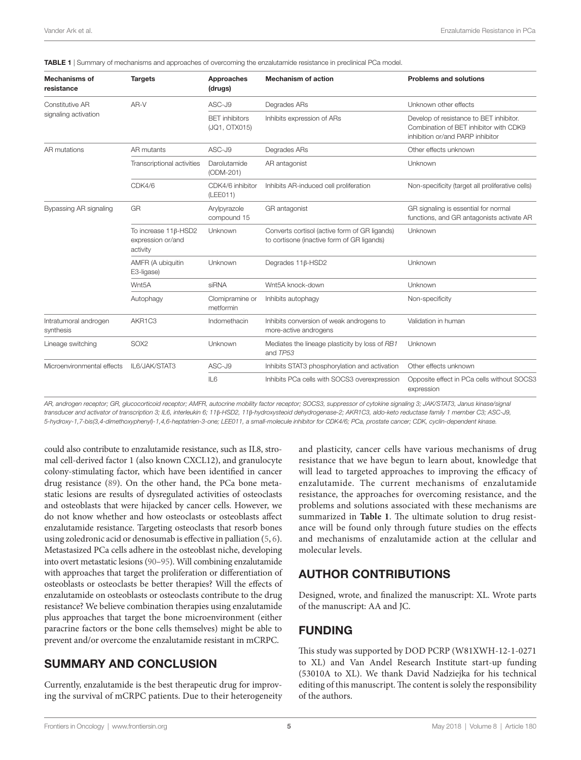| <b>Mechanisms of</b><br>resistance      | <b>Targets</b>                                        | Approaches<br>(drugs)                  | <b>Mechanism of action</b>                                                                  | <b>Problems and solutions</b>                                                                                         |
|-----------------------------------------|-------------------------------------------------------|----------------------------------------|---------------------------------------------------------------------------------------------|-----------------------------------------------------------------------------------------------------------------------|
| Constitutive AR<br>signaling activation | AR-V                                                  | $ASC-J9$                               | Degrades ARs                                                                                | Unknown other effects                                                                                                 |
|                                         |                                                       | <b>BET</b> inhibitors<br>(JQ1, OTX015) | Inhibits expression of ARs                                                                  | Develop of resistance to BET inhibitor.<br>Combination of BET inhibitor with CDK9<br>inhibition or/and PARP inhibitor |
| AR mutations                            | AR mutants                                            | ASC-J9                                 | Degrades ARs                                                                                | Other effects unknown                                                                                                 |
|                                         | Transcriptional activities                            | Darolutamide<br>(ODM-201)              | AR antagonist                                                                               | Unknown                                                                                                               |
|                                         | CDK4/6                                                | CDK4/6 inhibitor<br>(LEEO11)           | Inhibits AR-induced cell proliferation                                                      | Non-specificity (target all proliferative cells)                                                                      |
| Bypassing AR signaling                  | GR                                                    | Arylpyrazole<br>compound 15            | GR antagonist                                                                               | GR signaling is essential for normal<br>functions, and GR antagonists activate AR                                     |
|                                         | To increase 11β-HSD2<br>expression or/and<br>activity | Unknown                                | Converts cortisol (active form of GR ligands)<br>to cortisone (inactive form of GR ligands) | Unknown                                                                                                               |
|                                         | AMFR (A ubiquitin<br>E3-ligase)                       | Unknown                                | Degrades $11\beta$ -HSD2                                                                    | Unknown                                                                                                               |
|                                         | Wnt <sub>5</sub> A                                    | siRNA                                  | Wnt5A knock-down                                                                            | Unknown                                                                                                               |
|                                         | Autophagy                                             | Clomipramine or<br>metformin           | Inhibits autophagy                                                                          | Non-specificity                                                                                                       |
| Intratumoral androgen<br>synthesis      | AKR1C3                                                | Indomethacin                           | Inhibits conversion of weak androgens to<br>more-active androgens                           | Validation in human                                                                                                   |
| Lineage switching                       | SOX <sub>2</sub>                                      | Unknown                                | Mediates the lineage plasticity by loss of RB1<br>and TP53                                  | Unknown                                                                                                               |
| Microenvironmental effects              | IL6/JAK/STAT3                                         | ASC-J9                                 | Inhibits STAT3 phosphorylation and activation                                               | Other effects unknown                                                                                                 |
|                                         |                                                       | IL <sub>6</sub>                        | Inhibits PCa cells with SOCS3 overexpression                                                | Opposite effect in PCa cells without SOCS3<br>expression                                                              |

<span id="page-4-0"></span>TABLE 1 | Summary of mechanisms and approaches of overcoming the enzalutamide resistance in preclinical PCa model.

AR, androgen receptor; GR, glucocorticoid receptor; AMFR, autocrine mobility factor receptor; SOCS3, suppressor of cytokine signaling 3; JAK/STAT3, Janus kinase/signal *transducer and activator of transcription 3; IL6, interleukin 6; 11*β*-HSD2, 11*β*-hydroxysteoid dehydrogenase-2; AKR1C3, aldo-keto reductase family 1 member C3; ASC-J9, 5-hydroxy-1,7-bis(3,4-dimethoxyphenyl)-1,4,6-heptatrien-3-one; LEE011, a small-molecule inhibitor for CDK4/6; PCa, prostate cancer; CDK, cyclin-dependent kinase.*

could also contribute to enzalutamide resistance, such as IL8, stromal cell-derived factor 1 (also known CXCL12), and granulocyte colony-stimulating factor, which have been identified in cancer drug resistance ([89\)](#page-7-5). On the other hand, the PCa bone metastatic lesions are results of dysregulated activities of osteoclasts and osteoblasts that were hijacked by cancer cells. However, we do not know whether and how osteoclasts or osteoblasts affect enzalutamide resistance. Targeting osteoclasts that resorb bones using zoledronic acid or denosumab is effective in palliation [\(5](#page-5-10), [6\)](#page-5-11). Metastasized PCa cells adhere in the osteoblast niche, developing into overt metastatic lesions [\(90](#page-7-6)[–95\)](#page-7-7). Will combining enzalutamide with approaches that target the proliferation or differentiation of osteoblasts or osteoclasts be better therapies? Will the effects of enzalutamide on osteoblasts or osteoclasts contribute to the drug resistance? We believe combination therapies using enzalutamide plus approaches that target the bone microenvironment (either paracrine factors or the bone cells themselves) might be able to prevent and/or overcome the enzalutamide resistant in mCRPC.

### SUMMARY AND CONCLUSION

Currently, enzalutamide is the best therapeutic drug for improving the survival of mCRPC patients. Due to their heterogeneity and plasticity, cancer cells have various mechanisms of drug resistance that we have begun to learn about, knowledge that will lead to targeted approaches to improving the efficacy of enzalutamide. The current mechanisms of enzalutamide resistance, the approaches for overcoming resistance, and the problems and solutions associated with these mechanisms are summarized in **[Table 1](#page-4-0)**. The ultimate solution to drug resistance will be found only through future studies on the effects and mechanisms of enzalutamide action at the cellular and molecular levels.

### AUTHOR CONTRIBUTIONS

Designed, wrote, and finalized the manuscript: XL. Wrote parts of the manuscript: AA and JC.

#### FUNDING

This study was supported by DOD PCRP (W81XWH-12-1-0271 to XL) and Van Andel Research Institute start-up funding (53010A to XL). We thank David Nadziejka for his technical editing of this manuscript. The content is solely the responsibility of the authors.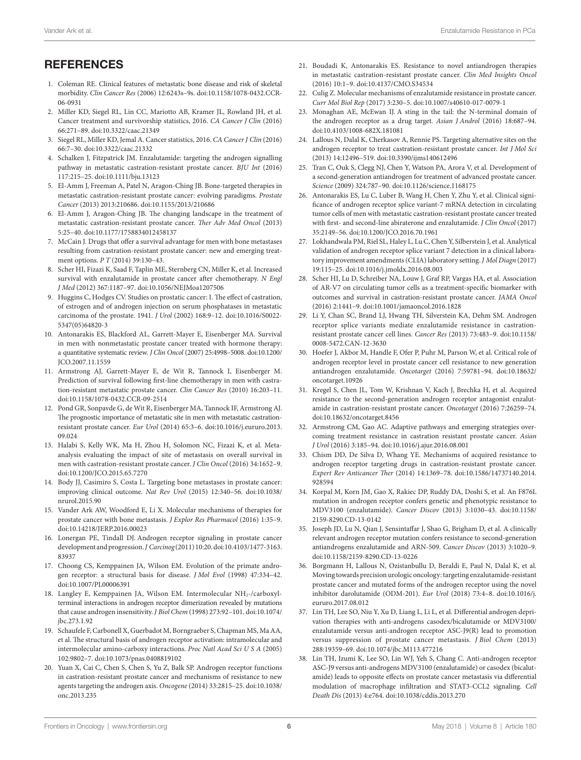## **REFERENCES**

- <span id="page-5-0"></span>1. Coleman RE. Clinical features of metastatic bone disease and risk of skeletal morbidity. *Clin Cancer Res* (2006) 12:6243s–9s. doi[:10.1158/1078-0432.CCR-](https://doi.org/10.1158/1078-0432.CCR-
06-0931)[06-0931](https://doi.org/10.1158/1078-0432.CCR-
06-0931)
- <span id="page-5-7"></span>2. Miller KD, Siegel RL, Lin CC, Mariotto AB, Kramer JL, Rowland JH, et al. Cancer treatment and survivorship statistics, 2016. *CA Cancer J Clin* (2016) 66:271–89. doi:[10.3322/caac.21349](https://doi.org/10.3322/caac.21349)
- <span id="page-5-1"></span>3. Siegel RL, Miller KD, Jemal A. Cancer statistics, 2016. *CA Cancer J Clin* (2016) 66:7–30. doi:[10.3322/caac.21332](https://doi.org/10.3322/caac.21332)
- <span id="page-5-2"></span>4. Schalken J, Fitzpatrick JM. Enzalutamide: targeting the androgen signalling pathway in metastatic castration-resistant prostate cancer. *BJU Int* (2016) 117:215–25. doi:[10.1111/bju.13123](https://doi.org/10.1111/bju.13123)
- <span id="page-5-10"></span>5. El-Amm J, Freeman A, Patel N, Aragon-Ching JB. Bone-targeted therapies in metastatic castration-resistant prostate cancer: evolving paradigms. *Prostate Cancer* (2013) 2013:210686. doi:[10.1155/2013/210686](https://doi.org/10.1155/2013/210686)
- <span id="page-5-11"></span>6. El-Amm J, Aragon-Ching JB. The changing landscape in the treatment of metastatic castration-resistant prostate cancer. *Ther Adv Med Oncol* (2013) 5:25–40. doi:[10.1177/1758834012458137](https://doi.org/10.1177/1758834012458137)
- 7. McCain J. Drugs that offer a survival advantage for men with bone metastases resulting from castration-resistant prostate cancer: new and emerging treatment options. *P T* (2014) 39:130–43.
- <span id="page-5-3"></span>8. Scher HI, Fizazi K, Saad F, Taplin ME, Sternberg CN, Miller K, et al. Increased survival with enzalutamide in prostate cancer after chemotherapy. *N Engl J Med* (2012) 367:1187–97. doi[:10.1056/NEJMoa1207506](https://doi.org/10.1056/NEJMoa1207506)
- <span id="page-5-4"></span>9. Huggins C, Hodges CV. Studies on prostatic cancer: I. The effect of castration, of estrogen and of androgen injection on serum phosphatases in metastatic carcinoma of the prostate. 1941. *J Urol* (2002) 168:9–12. doi:[10.1016/S0022-](https://doi.org/10.1016/S0022-
5347(05)64820-3) [5347\(05\)64820-3](https://doi.org/10.1016/S0022-
5347(05)64820-3)
- <span id="page-5-5"></span>10. Antonarakis ES, Blackford AL, Garrett-Mayer E, Eisenberger MA. Survival in men with nonmetastatic prostate cancer treated with hormone therapy: a quantitative systematic review. *J Clin Oncol* (2007) 25:4998–5008. doi[:10.1200/](https://doi.org/10.1200/JCO.2007.11.1559) [JCO.2007.11.1559](https://doi.org/10.1200/JCO.2007.11.1559)
- <span id="page-5-6"></span>11. Armstrong AJ, Garrett-Mayer E, de Wit R, Tannock I, Eisenberger M. Prediction of survival following first-line chemotherapy in men with castration-resistant metastatic prostate cancer. *Clin Cancer Res* (2010) 16:203–11. doi:[10.1158/1078-0432.CCR-09-2514](https://doi.org/10.1158/1078-0432.CCR-09-2514)
- <span id="page-5-8"></span>12. Pond GR, Sonpavde G, de Wit R, Eisenberger MA, Tannock IF, Armstrong AJ. The prognostic importance of metastatic site in men with metastatic castrationresistant prostate cancer. *Eur Urol* (2014) 65:3–6. doi:[10.1016/j.eururo.2013.](https://doi.org/10.1016/j.eururo.2013.
09.024) [09.024](https://doi.org/10.1016/j.eururo.2013.
09.024)
- <span id="page-5-9"></span>13. Halabi S, Kelly WK, Ma H, Zhou H, Solomon NC, Fizazi K, et al. Metaanalysis evaluating the impact of site of metastasis on overall survival in men with castration-resistant prostate cancer. *J Clin Oncol* (2016) 34:1652–9. doi:[10.1200/JCO.2015.65.7270](https://doi.org/10.1200/JCO.2015.65.7270)
- <span id="page-5-12"></span>14. Body JJ, Casimiro S, Costa L. Targeting bone metastases in prostate cancer: improving clinical outcome. *Nat Rev Urol* (2015) 12:340–56. doi[:10.1038/](https://doi.org/10.1038/nrurol.2015.90) [nrurol.2015.90](https://doi.org/10.1038/nrurol.2015.90)
- <span id="page-5-13"></span>15. Vander Ark AW, Woodford E, Li X. Molecular mechanisms of therapies for prostate cancer with bone metastasis. *J Explor Res Pharmacol* (2016) 1:35–9. doi:[10.14218/JERP.2016.00023](https://doi.org/10.14218/JERP.2016.00023)
- <span id="page-5-14"></span>16. Lonergan PE, Tindall DJ. Androgen receptor signaling in prostate cancer development and progression. *J Carcinog* (2011) 10:20. doi[:10.4103/1477-3163.](https://doi.org/10.4103/1477-3163.
83937) [83937](https://doi.org/10.4103/1477-3163.
83937)
- <span id="page-5-15"></span>17. Choong CS, Kemppainen JA, Wilson EM. Evolution of the primate androgen receptor: a structural basis for disease. *J Mol Evol* (1998) 47:334–42. doi:[10.1007/PL00006391](https://doi.org/10.1007/PL00006391)
- 18. Langley E, Kemppainen JA, Wilson EM. Intermolecular NH<sub>2</sub>-/carboxylterminal interactions in androgen receptor dimerization revealed by mutations that cause androgen insensitivity. *J Biol Chem* (1998) 273:92–101. doi[:10.1074/](https://doi.org/10.1074/jbc.273.1.92) [jbc.273.1.92](https://doi.org/10.1074/jbc.273.1.92)
- <span id="page-5-18"></span>19. Schaufele F, Carbonell X, Guerbadot M, Borngraeber S, Chapman MS, Ma AA, et al. The structural basis of androgen receptor activation: intramolecular and intermolecular amino-carboxy interactions. *Proc Natl Acad Sci U S A* (2005) 102:9802–7. doi:[10.1073/pnas.0408819102](https://doi.org/10.1073/pnas.0408819102)
- <span id="page-5-21"></span>20. Yuan X, Cai C, Chen S, Chen S, Yu Z, Balk SP. Androgen receptor functions in castration-resistant prostate cancer and mechanisms of resistance to new agents targeting the androgen axis. *Oncogene* (2014) 33:2815–25. doi[:10.1038/](https://doi.org/10.1038/onc.2013.235) [onc.2013.235](https://doi.org/10.1038/onc.2013.235)
- <span id="page-5-24"></span>21. Boudadi K, Antonarakis ES. Resistance to novel antiandrogen therapies in metastatic castration-resistant prostate cancer. *Clin Med Insights Oncol* (2016) 10:1–9. doi[:10.4137/CMO.S34534](https://doi.org/10.4137/CMO.S34534)
- <span id="page-5-16"></span>22. Culig Z. Molecular mechanisms of enzalutamide resistance in prostate cancer. *Curr Mol Biol Rep* (2017) 3:230–5. doi[:10.1007/s40610-017-0079-1](https://doi.org/10.1007/s40610-017-0079-1)
- <span id="page-5-17"></span>23. Monaghan AE, McEwan IJ. A sting in the tail: the N-terminal domain of the androgen receptor as a drug target. *Asian J Androl* (2016) 18:687–94. doi:[10.4103/1008-682X.181081](https://doi.org/10.4103/1008-682X.181081)
- <span id="page-5-19"></span>24. Lallous N, Dalal K, Cherkasov A, Rennie PS. Targeting alternative sites on the androgen receptor to treat castration-resistant prostate cancer. *Int J Mol Sci* (2013) 14:12496–519. doi:[10.3390/ijms140612496](https://doi.org/10.3390/ijms140612496)
- <span id="page-5-20"></span>25. Tran C, Ouk S, Clegg NJ, Chen Y, Watson PA, Arora V, et al. Development of a second-generation antiandrogen for treatment of advanced prostate cancer. *Science* (2009) 324:787–90. doi:[10.1126/science.1168175](https://doi.org/10.1126/science.1168175)
- <span id="page-5-22"></span>26. Antonarakis ES, Lu C, Luber B, Wang H, Chen Y, Zhu Y, et al. Clinical significance of androgen receptor splice variant-7 mRNA detection in circulating tumor cells of men with metastatic castration-resistant prostate cancer treated with first- and second-line abiraterone and enzalutamide. *J Clin Oncol* (2017) 35:2149–56. doi[:10.1200/JCO.2016.70.1961](https://doi.org/10.1200/JCO.2016.70.1961)
- 27. Lokhandwala PM, Riel SL, Haley L, Lu C, Chen Y, Silberstein J, et al. Analytical validation of androgen receptor splice variant 7 detection in a clinical laboratory improvement amendments (CLIA) laboratory setting. *J Mol Diagn* (2017) 19:115–25. doi:[10.1016/j.jmoldx.2016.08.003](https://doi.org/10.1016/j.jmoldx.2016.08.003)
- 28. Scher HI, Lu D, Schreiber NA, Louw J, Graf RP, Vargas HA, et al. Association of AR-V7 on circulating tumor cells as a treatment-specific biomarker with outcomes and survival in castration-resistant prostate cancer. *JAMA Oncol* (2016) 2:1441–9. doi[:10.1001/jamaoncol.2016.1828](https://doi.org/10.1001/jamaoncol.2016.1828)
- 29. Li Y, Chan SC, Brand LJ, Hwang TH, Silverstein KA, Dehm SM. Androgen receptor splice variants mediate enzalutamide resistance in castrationresistant prostate cancer cell lines. *Cancer Res* (2013) 73:483–9. doi[:10.1158/](https://doi.org/10.1158/
0008-5472.CAN-12-3630) [0008-5472.CAN-12-3630](https://doi.org/10.1158/
0008-5472.CAN-12-3630)
- <span id="page-5-23"></span>30. Hoefer J, Akbor M, Handle F, Ofer P, Puhr M, Parson W, et al. Critical role of androgen receptor level in prostate cancer cell resistance to new generation antiandrogen enzalutamide. *Oncotarget* (2016) 7:59781–94. doi:[10.18632/](https://doi.org/10.18632/oncotarget.10926) [oncotarget.10926](https://doi.org/10.18632/oncotarget.10926)
- <span id="page-5-25"></span>31. Kregel S, Chen JL, Tom W, Krishnan V, Kach J, Brechka H, et al. Acquired resistance to the second-generation androgen receptor antagonist enzalutamide in castration-resistant prostate cancer. *Oncotarget* (2016) 7:26259–74. doi:[10.18632/oncotarget.8456](https://doi.org/10.18632/oncotarget.8456)
- 32. Armstrong CM, Gao AC. Adaptive pathways and emerging strategies overcoming treatment resistance in castration resistant prostate cancer. *Asian J Urol* (2016) 3:185–94. doi[:10.1016/j.ajur.2016.08.001](https://doi.org/10.1016/j.ajur.2016.08.001)
- <span id="page-5-26"></span>33. Chism DD, De Silva D, Whang YE. Mechanisms of acquired resistance to androgen receptor targeting drugs in castration-resistant prostate cancer. *Expert Rev Anticancer Ther* (2014) 14:1369–78. doi:[10.1586/14737140.2014.](https://doi.org/10.1586/14737140.2014.928594) [928594](https://doi.org/10.1586/14737140.2014.928594)
- <span id="page-5-27"></span>34. Korpal M, Korn JM, Gao X, Rakiec DP, Ruddy DA, Doshi S, et al. An F876L mutation in androgen receptor confers genetic and phenotypic resistance to MDV3100 (enzalutamide). *Cancer Discov* (2013) 3:1030–43. doi[:10.1158/](https://doi.org/10.1158/
2159-8290.CD-13-0142) [2159-8290.CD-13-0142](https://doi.org/10.1158/
2159-8290.CD-13-0142)
- <span id="page-5-28"></span>35. Joseph JD, Lu N, Qian J, Sensintaffar J, Shao G, Brigham D, et al. A clinically relevant androgen receptor mutation confers resistance to second-generation antiandrogens enzalutamide and ARN-509. *Cancer Discov* (2013) 3:1020–9. doi:[10.1158/2159-8290.CD-13-0226](https://doi.org/10.1158/2159-8290.CD-13-0226)
- <span id="page-5-29"></span>36. Borgmann H, Lallous N, Ozistanbullu D, Beraldi E, Paul N, Dalal K, et al. Moving towards precision urologic oncology: targeting enzalutamide-resistant prostate cancer and mutated forms of the androgen receptor using the novel inhibitor darolutamide (ODM-201). *Eur Urol* (2018) 73:4–8. doi:[10.1016/j.](https://doi.org/10.1016/j.eururo.2017.08.012) [eururo.2017.08.012](https://doi.org/10.1016/j.eururo.2017.08.012)
- <span id="page-5-30"></span>37. Lin TH, Lee SO, Niu Y, Xu D, Liang L, Li L, et al. Differential androgen deprivation therapies with anti-androgens casodex/bicalutamide or MDV3100/ enzalutamide versus anti-androgen receptor ASC-J9(R) lead to promotion versus suppression of prostate cancer metastasis. *J Biol Chem* (2013) 288:19359–69. doi:[10.1074/jbc.M113.477216](https://doi.org/10.1074/jbc.M113.477216)
- <span id="page-5-31"></span>38. Lin TH, Izumi K, Lee SO, Lin WJ, Yeh S, Chang C. Anti-androgen receptor ASC-J9 versus anti-androgens MDV3100 (enzalutamide) or casodex (bicalutamide) leads to opposite effects on prostate cancer metastasis via differential modulation of macrophage infiltration and STAT3-CCL2 signaling. *Cell Death Dis* (2013) 4:e764. doi:[10.1038/cddis.2013.270](https://doi.org/10.1038/cddis.2013.270)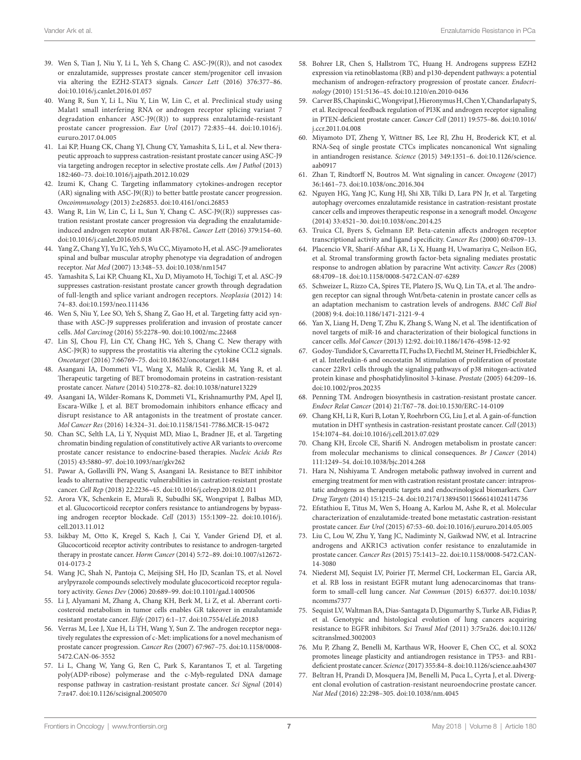- <span id="page-6-0"></span>39. Wen S, Tian J, Niu Y, Li L, Yeh S, Chang C. ASC-J9((R)), and not casodex or enzalutamide, suppresses prostate cancer stem/progenitor cell invasion via altering the EZH2-STAT3 signals. *Cancer Lett* (2016) 376:377–86. doi:[10.1016/j.canlet.2016.01.057](https://doi.org/10.1016/j.canlet.2016.01.057)
- <span id="page-6-1"></span>40. Wang R, Sun Y, Li L, Niu Y, Lin W, Lin C, et al. Preclinical study using Malat1 small interfering RNA or androgen receptor splicing variant 7 degradation enhancer ASC-J9((R)) to suppress enzalutamide-resistant prostate cancer progression. *Eur Urol* (2017) 72:835–44. doi:[10.1016/j.](https://doi.org/10.1016/j.eururo.2017.04.005) [eururo.2017.04.005](https://doi.org/10.1016/j.eururo.2017.04.005)
- <span id="page-6-2"></span>41. Lai KP, Huang CK, Chang YJ, Chung CY, Yamashita S, Li L, et al. New therapeutic approach to suppress castration-resistant prostate cancer using ASC-J9 via targeting androgen receptor in selective prostate cells. *Am J Pathol* (2013) 182:460–73. doi:[10.1016/j.ajpath.2012.10.029](https://doi.org/10.1016/j.ajpath.2012.10.029)
- 42. Izumi K, Chang C. Targeting inflammatory cytokines-androgen receptor (AR) signaling with ASC-J9((R)) to better battle prostate cancer progression. *Oncoimmunology* (2013) 2:e26853. doi:[10.4161/onci.26853](https://doi.org/10.4161/onci.26853)
- 43. Wang R, Lin W, Lin C, Li L, Sun Y, Chang C. ASC-J9((R)) suppresses castration resistant prostate cancer progression via degrading the enzalutamideinduced androgen receptor mutant AR-F876L. *Cancer Lett* (2016) 379:154–60. doi:[10.1016/j.canlet.2016.05.018](https://doi.org/10.1016/j.canlet.2016.05.018)
- 44. Yang Z, Chang YJ, Yu IC, Yeh S, Wu CC, Miyamoto H, et al. ASC-J9 ameliorates spinal and bulbar muscular atrophy phenotype via degradation of androgen receptor. *Nat Med* (2007) 13:348–53. doi:[10.1038/nm1547](https://doi.org/10.1038/nm1547)
- <span id="page-6-3"></span>45. Yamashita S, Lai KP, Chuang KL, Xu D, Miyamoto H, Tochigi T, et al. ASC-J9 suppresses castration-resistant prostate cancer growth through degradation of full-length and splice variant androgen receptors. *Neoplasia* (2012) 14: 74–83. doi[:10.1593/neo.111436](https://doi.org/10.1593/neo.111436)
- <span id="page-6-4"></span>46. Wen S, Niu Y, Lee SO, Yeh S, Shang Z, Gao H, et al. Targeting fatty acid synthase with ASC-J9 suppresses proliferation and invasion of prostate cancer cells. *Mol Carcinog* (2016) 55:2278–90. doi:[10.1002/mc.22468](https://doi.org/10.1002/mc.22468)
- <span id="page-6-5"></span>47. Lin SJ, Chou FJ, Lin CY, Chang HC, Yeh S, Chang C. New therapy with ASC-J9(R) to suppress the prostatitis via altering the cytokine CCL2 signals. *Oncotarget* (2016) 7:66769–75. doi:[10.18632/oncotarget.11484](https://doi.org/10.18632/oncotarget.11484)
- <span id="page-6-6"></span>48. Asangani IA, Dommeti VL, Wang X, Malik R, Cieslik M, Yang R, et al. Therapeutic targeting of BET bromodomain proteins in castration-resistant prostate cancer. *Nature* (2014) 510:278–82. doi[:10.1038/nature13229](https://doi.org/10.1038/nature13229)
- <span id="page-6-7"></span>49. Asangani IA, Wilder-Romans K, Dommeti VL, Krishnamurthy PM, Apel IJ, Escara-Wilke J, et al. BET bromodomain inhibitors enhance efficacy and disrupt resistance to AR antagonists in the treatment of prostate cancer. *Mol Cancer Res* (2016) 14:324–31. doi:[10.1158/1541-7786.MCR-15-0472](https://doi.org/10.1158/1541-7786.MCR-15-0472)
- <span id="page-6-8"></span>50. Chan SC, Selth LA, Li Y, Nyquist MD, Miao L, Bradner JE, et al. Targeting chromatin binding regulation of constitutively active AR variants to overcome prostate cancer resistance to endocrine-based therapies. *Nucleic Acids Res* (2015) 43:5880–97. doi:[10.1093/nar/gkv262](https://doi.org/10.1093/nar/gkv262)
- <span id="page-6-9"></span>51. Pawar A, Gollavilli PN, Wang S, Asangani IA. Resistance to BET inhibitor leads to alternative therapeutic vulnerabilities in castration-resistant prostate cancer. *Cell Rep* (2018) 22:2236–45. doi[:10.1016/j.celrep.2018.02.011](https://doi.org/10.1016/j.celrep.2018.02.011)
- <span id="page-6-10"></span>52. Arora VK, Schenkein E, Murali R, Subudhi SK, Wongvipat J, Balbas MD, et al. Glucocorticoid receptor confers resistance to antiandrogens by bypassing androgen receptor blockade. *Cell* (2013) 155:1309–22. doi:[10.1016/j.](https://doi.org/10.1016/j.cell.2013.11.012) [cell.2013.11.012](https://doi.org/10.1016/j.cell.2013.11.012)
- <span id="page-6-11"></span>53. Isikbay M, Otto K, Kregel S, Kach J, Cai Y, Vander Griend DJ, et al. Glucocorticoid receptor activity contributes to resistance to androgen-targeted therapy in prostate cancer. *Horm Cancer* (2014) 5:72–89. doi:[10.1007/s12672-](https://doi.org/10.1007/s12672-
014-0173-2) [014-0173-2](https://doi.org/10.1007/s12672-
014-0173-2)
- <span id="page-6-12"></span>54. Wang JC, Shah N, Pantoja C, Meijsing SH, Ho JD, Scanlan TS, et al. Novel arylpyrazole compounds selectively modulate glucocorticoid receptor regulatory activity. *Genes Dev* (2006) 20:689–99. doi:[10.1101/gad.1400506](https://doi.org/10.1101/gad.1400506)
- <span id="page-6-13"></span>55. Li J, Alyamani M, Zhang A, Chang KH, Berk M, Li Z, et al. Aberrant corticosteroid metabolism in tumor cells enables GR takeover in enzalutamide resistant prostate cancer. *Elife* (2017) 6:1–17. doi[:10.7554/eLife.20183](https://doi.org/10.7554/eLife.20183)
- <span id="page-6-14"></span>56. Verras M, Lee J, Xue H, Li TH, Wang Y, Sun Z. The androgen receptor negatively regulates the expression of c-Met: implications for a novel mechanism of prostate cancer progression. *Cancer Res* (2007) 67:967–75. doi[:10.1158/0008-](https://doi.org/10.1158/0008-5472.CAN-06-3552) [5472.CAN-06-3552](https://doi.org/10.1158/0008-5472.CAN-06-3552)
- <span id="page-6-15"></span>57. Li L, Chang W, Yang G, Ren C, Park S, Karantanos T, et al. Targeting poly(ADP-ribose) polymerase and the c-Myb-regulated DNA damage response pathway in castration-resistant prostate cancer. *Sci Signal* (2014) 7:ra47. doi:[10.1126/scisignal.2005070](https://doi.org/10.1126/scisignal.2005070)
- <span id="page-6-16"></span>58. Bohrer LR, Chen S, Hallstrom TC, Huang H. Androgens suppress EZH2 expression via retinoblastoma (RB) and p130-dependent pathways: a potential mechanism of androgen-refractory progression of prostate cancer. *Endocrinology* (2010) 151:5136–45. doi[:10.1210/en.2010-0436](https://doi.org/10.1210/en.2010-0436)
- <span id="page-6-17"></span>59. Carver BS, Chapinski C, Wongvipat J, Hieronymus H, Chen Y, Chandarlapaty S, et al. Reciprocal feedback regulation of PI3K and androgen receptor signaling in PTEN-deficient prostate cancer. *Cancer Cell* (2011) 19:575–86. doi:[10.1016/](https://doi.org/10.1016/
j.ccr.2011.04.008) [j.ccr.2011.04.008](https://doi.org/10.1016/
j.ccr.2011.04.008)
- <span id="page-6-18"></span>60. Miyamoto DT, Zheng Y, Wittner BS, Lee RJ, Zhu H, Broderick KT, et al. RNA-Seq of single prostate CTCs implicates noncanonical Wnt signaling in antiandrogen resistance. *Science* (2015) 349:1351–6. doi:[10.1126/science.](https://doi.org/10.1126/science.aab0917) [aab0917](https://doi.org/10.1126/science.aab0917)
- <span id="page-6-19"></span>61. Zhan T, Rindtorff N, Boutros M. Wnt signaling in cancer. *Oncogene* (2017) 36:1461–73. doi[:10.1038/onc.2016.304](https://doi.org/10.1038/onc.2016.304)
- <span id="page-6-20"></span>62. Nguyen HG, Yang JC, Kung HJ, Shi XB, Tilki D, Lara PN Jr, et al. Targeting autophagy overcomes enzalutamide resistance in castration-resistant prostate cancer cells and improves therapeutic response in a xenograft model. *Oncogene* (2014) 33:4521–30. doi:[10.1038/onc.2014.25](https://doi.org/10.1038/onc.2014.25)
- <span id="page-6-21"></span>63. Truica CI, Byers S, Gelmann EP. Beta-catenin affects androgen receptor transcriptional activity and ligand specificity. *Cancer Res* (2000) 60:4709–13.
- <span id="page-6-31"></span>64. Placencio VR, Sharif-Afshar AR, Li X, Huang H, Uwamariya C, Neilson EG, et al. Stromal transforming growth factor-beta signaling mediates prostatic response to androgen ablation by paracrine Wnt activity. *Cancer Res* (2008) 68:4709–18. doi[:10.1158/0008-5472.CAN-07-6289](https://doi.org/10.1158/0008-5472.CAN-07-6289)
- 65. Schweizer L, Rizzo CA, Spires TE, Platero JS, Wu Q, Lin TA, et al. The androgen receptor can signal through Wnt/beta-catenin in prostate cancer cells as an adaptation mechanism to castration levels of androgens. *BMC Cell Biol* (2008) 9:4. doi[:10.1186/1471-2121-9-4](https://doi.org/10.1186/1471-2121-9-4)
- 66. Yan X, Liang H, Deng T, Zhu K, Zhang S, Wang N, et al. The identification of novel targets of miR-16 and characterization of their biological functions in cancer cells. *Mol Cancer* (2013) 12:92. doi:[10.1186/1476-4598-12-92](https://doi.org/10.1186/1476-4598-12-92)
- <span id="page-6-22"></span>67. Godoy-Tundidor S, Cavarretta IT, Fuchs D, Fiechtl M, Steiner H, Friedbichler K, et al. Interleukin-6 and oncostatin M stimulation of proliferation of prostate cancer 22Rv1 cells through the signaling pathways of p38 mitogen-activated protein kinase and phosphatidylinositol 3-kinase. *Prostate* (2005) 64:209–16. doi:[10.1002/pros.20235](https://doi.org/10.1002/pros.20235)
- <span id="page-6-23"></span>68. Penning TM. Androgen biosynthesis in castration-resistant prostate cancer. *Endocr Relat Cancer* (2014) 21:T67–78. doi:[10.1530/ERC-14-0109](https://doi.org/10.1530/ERC-14-0109)
- 69. Chang KH, Li R, Kuri B, Lotan Y, Roehrborn CG, Liu J, et al. A gain-of-function mutation in DHT synthesis in castration-resistant prostate cancer. *Cell* (2013) 154:1074–84. doi:[10.1016/j.cell.2013.07.029](https://doi.org/10.1016/j.cell.2013.07.029)
- 70. Chang KH, Ercole CE, Sharifi N. Androgen metabolism in prostate cancer: from molecular mechanisms to clinical consequences. *Br J Cancer* (2014) 111:1249–54. doi:[10.1038/bjc.2014.268](https://doi.org/10.1038/bjc.2014.268)
- <span id="page-6-24"></span>71. Hara N, Nishiyama T. Androgen metabolic pathway involved in current and emerging treatment for men with castration resistant prostate cancer: intraprostatic androgens as therapeutic targets and endocrinological biomarkers. *Curr Drug Targets* (2014) 15:1215–24. doi:[10.2174/1389450115666141024114736](https://doi.org/10.2174/1389450115666141024114736)
- <span id="page-6-25"></span>72. Efstathiou E, Titus M, Wen S, Hoang A, Karlou M, Ashe R, et al. Molecular characterization of enzalutamide-treated bone metastatic castration-resistant prostate cancer. *Eur Urol* (2015) 67:53–60. doi:[10.1016/j.eururo.2014.05.005](https://doi.org/10.1016/j.eururo.2014.
05.005)
- <span id="page-6-26"></span>73. Liu C, Lou W, Zhu Y, Yang JC, Nadiminty N, Gaikwad NW, et al. Intracrine androgens and AKR1C3 activation confer resistance to enzalutamide in prostate cancer. *Cancer Res* (2015) 75:1413–22. doi:[10.1158/0008-5472.CAN-](https://doi.org/10.1158/0008-5472.CAN-
14-3080)[14-3080](https://doi.org/10.1158/0008-5472.CAN-
14-3080)
- <span id="page-6-27"></span>74. Niederst MJ, Sequist LV, Poirier JT, Mermel CH, Lockerman EL, Garcia AR, et al. RB loss in resistant EGFR mutant lung adenocarcinomas that transform to small-cell lung cancer. *Nat Commun* (2015) 6:6377. doi:[10.1038/](https://doi.org/10.1038/ncomms7377) [ncomms7377](https://doi.org/10.1038/ncomms7377)
- <span id="page-6-28"></span>75. Sequist LV, Waltman BA, Dias-Santagata D, Digumarthy S, Turke AB, Fidias P, et al. Genotypic and histological evolution of lung cancers acquiring resistance to EGFR inhibitors. *Sci Transl Med* (2011) 3:75ra26. doi[:10.1126/](https://doi.org/10.1126/scitranslmed.3002003) [scitranslmed.3002003](https://doi.org/10.1126/scitranslmed.3002003)
- <span id="page-6-29"></span>76. Mu P, Zhang Z, Benelli M, Karthaus WR, Hoover E, Chen CC, et al. SOX2 promotes lineage plasticity and antiandrogen resistance in TP53- and RB1 deficient prostate cancer. *Science* (2017) 355:84–8. doi:[10.1126/science.aah4307](https://doi.org/10.1126/science.aah4307)
- <span id="page-6-30"></span>77. Beltran H, Prandi D, Mosquera JM, Benelli M, Puca L, Cyrta J, et al. Divergent clonal evolution of castration-resistant neuroendocrine prostate cancer. *Nat Med* (2016) 22:298–305. doi[:10.1038/nm.4045](https://doi.org/10.1038/nm.4045)